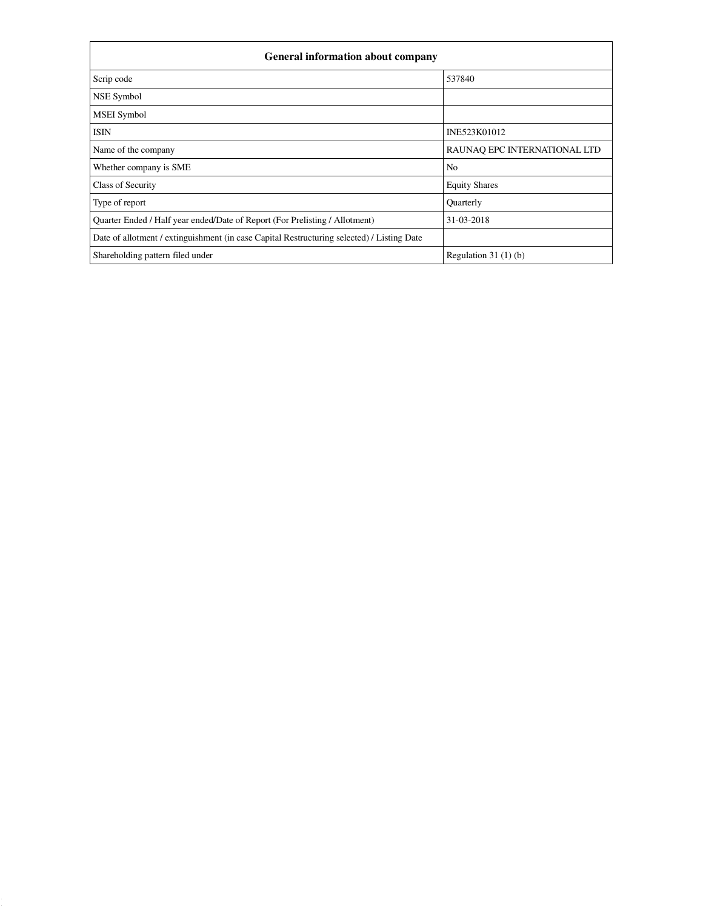| <b>General information about company</b>                                                   |                              |  |  |  |  |
|--------------------------------------------------------------------------------------------|------------------------------|--|--|--|--|
| Scrip code                                                                                 | 537840                       |  |  |  |  |
| NSE Symbol                                                                                 |                              |  |  |  |  |
| <b>MSEI</b> Symbol                                                                         |                              |  |  |  |  |
| <b>ISIN</b>                                                                                | INE523K01012                 |  |  |  |  |
| Name of the company                                                                        | RAUNAO EPC INTERNATIONAL LTD |  |  |  |  |
| Whether company is SME                                                                     | N <sub>o</sub>               |  |  |  |  |
| Class of Security                                                                          | <b>Equity Shares</b>         |  |  |  |  |
| Type of report                                                                             | Quarterly                    |  |  |  |  |
| Quarter Ended / Half year ended/Date of Report (For Prelisting / Allotment)                | 31-03-2018                   |  |  |  |  |
| Date of allotment / extinguishment (in case Capital Restructuring selected) / Listing Date |                              |  |  |  |  |
| Shareholding pattern filed under                                                           | Regulation $31(1)(b)$        |  |  |  |  |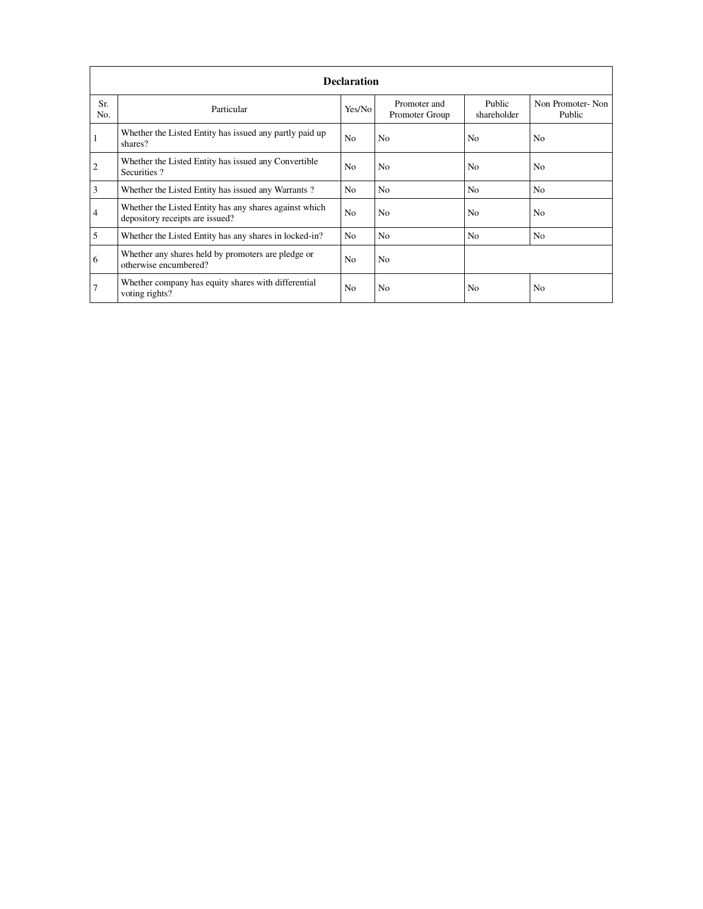|                | <b>Declaration</b>                                                                        |                |                                |                       |                            |  |  |  |
|----------------|-------------------------------------------------------------------------------------------|----------------|--------------------------------|-----------------------|----------------------------|--|--|--|
| Sr.<br>No.     | Particular                                                                                | Yes/No         | Promoter and<br>Promoter Group | Public<br>shareholder | Non Promoter-Non<br>Public |  |  |  |
|                | Whether the Listed Entity has issued any partly paid up<br>shares?                        | N <sub>o</sub> | N <sub>o</sub>                 | N <sub>o</sub>        | N <sub>0</sub>             |  |  |  |
| $\overline{2}$ | Whether the Listed Entity has issued any Convertible<br>Securities?                       | N <sub>o</sub> | N <sub>0</sub>                 | N <sub>0</sub>        | No                         |  |  |  |
| 3              | Whether the Listed Entity has issued any Warrants?                                        | N <sub>o</sub> | N <sub>o</sub>                 | N <sub>0</sub>        | N <sub>o</sub>             |  |  |  |
| 4              | Whether the Listed Entity has any shares against which<br>depository receipts are issued? | N <sub>o</sub> | N <sub>o</sub>                 | N <sub>o</sub>        | N <sub>o</sub>             |  |  |  |
| 5              | Whether the Listed Entity has any shares in locked-in?                                    | No             | N <sub>o</sub>                 | N <sub>o</sub>        | N <sub>o</sub>             |  |  |  |
| 6              | Whether any shares held by promoters are pledge or<br>otherwise encumbered?               | N <sub>o</sub> | N <sub>o</sub>                 |                       |                            |  |  |  |
| 7              | Whether company has equity shares with differential<br>voting rights?                     | N <sub>o</sub> | N <sub>o</sub>                 | N <sub>o</sub>        | N <sub>0</sub>             |  |  |  |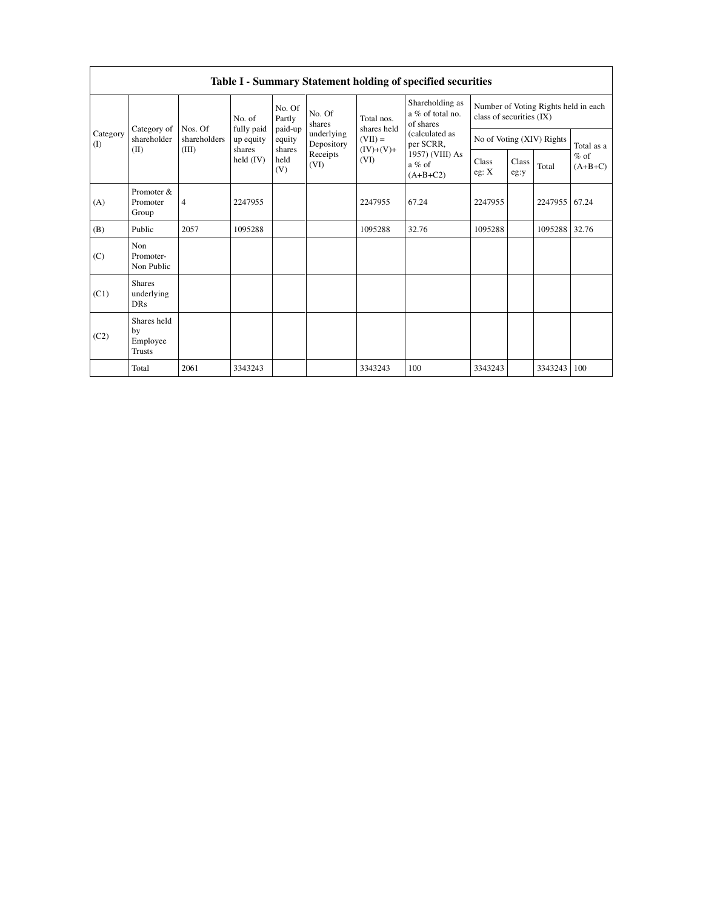|                 |                                                |                                 |                             |                  |                           |                                                  | Table I - Summary Statement holding of specified securities      |               |       |                           |            |  |
|-----------------|------------------------------------------------|---------------------------------|-----------------------------|------------------|---------------------------|--------------------------------------------------|------------------------------------------------------------------|---------------|-------|---------------------------|------------|--|
|                 | Category of                                    | No. of<br>fully paid<br>Nos. Of | No. Of<br>Partly<br>paid-up | No. Of<br>shares | Total nos.<br>shares held | Shareholding as<br>a % of total no.<br>of shares | Number of Voting Rights held in each<br>class of securities (IX) |               |       |                           |            |  |
| Category<br>(I) | shareholder                                    | shareholders                    | up equity<br>shares         | equity<br>shares | underlying<br>Depository  | $(VII) =$<br>$(IV)+(V)+$                         | (calculated as<br>per SCRR,                                      |               |       | No of Voting (XIV) Rights | Total as a |  |
|                 | (II)<br>(III)                                  | held (IV)                       | held<br>(V)                 | Receipts<br>(VI) | (VI)                      | 1957) (VIII) As<br>$a\%$ of<br>$(A+B+C2)$        | Class<br>eg: X                                                   | Class<br>eg:y | Total | $%$ of<br>$(A+B+C)$       |            |  |
| (A)             | Promoter &<br>Promoter<br>Group                | $\overline{4}$                  | 2247955                     |                  |                           | 2247955                                          | 67.24                                                            | 2247955       |       | 2247955 67.24             |            |  |
| (B)             | Public                                         | 2057                            | 1095288                     |                  |                           | 1095288                                          | 32.76                                                            | 1095288       |       | 1095288                   | 32.76      |  |
| (C)             | Non<br>Promoter-<br>Non Public                 |                                 |                             |                  |                           |                                                  |                                                                  |               |       |                           |            |  |
| (C1)            | <b>Shares</b><br>underlying<br><b>DRs</b>      |                                 |                             |                  |                           |                                                  |                                                                  |               |       |                           |            |  |
| (C2)            | Shares held<br>by<br>Employee<br><b>Trusts</b> |                                 |                             |                  |                           |                                                  |                                                                  |               |       |                           |            |  |
|                 | Total                                          | 2061                            | 3343243                     |                  |                           | 3343243                                          | 100                                                              | 3343243       |       | 3343243                   | 100        |  |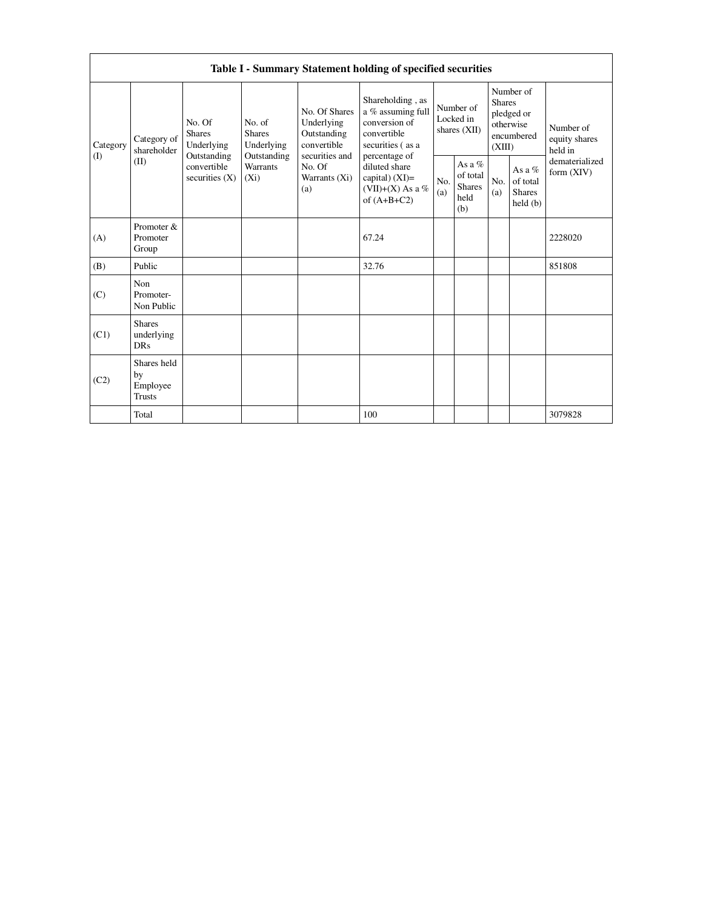|                 | Table I - Summary Statement holding of specified securities                                                                   |                                                                                    |                                                                             |                                                                                                            |                                        |                                                    |                                                                               |                                                  |                                       |         |
|-----------------|-------------------------------------------------------------------------------------------------------------------------------|------------------------------------------------------------------------------------|-----------------------------------------------------------------------------|------------------------------------------------------------------------------------------------------------|----------------------------------------|----------------------------------------------------|-------------------------------------------------------------------------------|--------------------------------------------------|---------------------------------------|---------|
| Category<br>(1) | No. Of<br><b>Shares</b><br>Category of<br>Underlying<br>shareholder<br>Outstanding<br>(II)<br>convertible<br>securities $(X)$ | No. of<br><b>Shares</b><br>Underlying<br>Outstanding<br><b>Warrants</b><br>$(X_i)$ | No. Of Shares<br>Underlying<br>Outstanding<br>convertible<br>securities and | Shareholding, as<br>a % assuming full<br>conversion of<br>convertible<br>securities (as a<br>percentage of | Number of<br>Locked in<br>shares (XII) |                                                    | Number of<br><b>Shares</b><br>pledged or<br>otherwise<br>encumbered<br>(XIII) |                                                  | Number of<br>equity shares<br>held in |         |
|                 |                                                                                                                               |                                                                                    | No. Of<br>Warrants (Xi)<br>(a)                                              | diluted share<br>capital) $(XI)=$<br>(VII)+(X) As a %<br>of $(A+B+C2)$                                     | No.<br>(a)                             | As a %<br>of total<br><b>Shares</b><br>held<br>(b) | No.<br>(a)                                                                    | As a $%$<br>of total<br><b>Shares</b><br>held(b) | dematerialized<br>form (XIV)          |         |
| (A)             | Promoter &<br>Promoter<br>Group                                                                                               |                                                                                    |                                                                             |                                                                                                            | 67.24                                  |                                                    |                                                                               |                                                  |                                       | 2228020 |
| (B)             | Public                                                                                                                        |                                                                                    |                                                                             |                                                                                                            | 32.76                                  |                                                    |                                                                               |                                                  |                                       | 851808  |
| (C)             | Non<br>Promoter-<br>Non Public                                                                                                |                                                                                    |                                                                             |                                                                                                            |                                        |                                                    |                                                                               |                                                  |                                       |         |
| (C1)            | <b>Shares</b><br>underlying<br><b>DRs</b>                                                                                     |                                                                                    |                                                                             |                                                                                                            |                                        |                                                    |                                                                               |                                                  |                                       |         |
| (C2)            | Shares held<br>by<br>Employee<br><b>Trusts</b>                                                                                |                                                                                    |                                                                             |                                                                                                            |                                        |                                                    |                                                                               |                                                  |                                       |         |
|                 | Total                                                                                                                         |                                                                                    |                                                                             |                                                                                                            | 100                                    |                                                    |                                                                               |                                                  |                                       | 3079828 |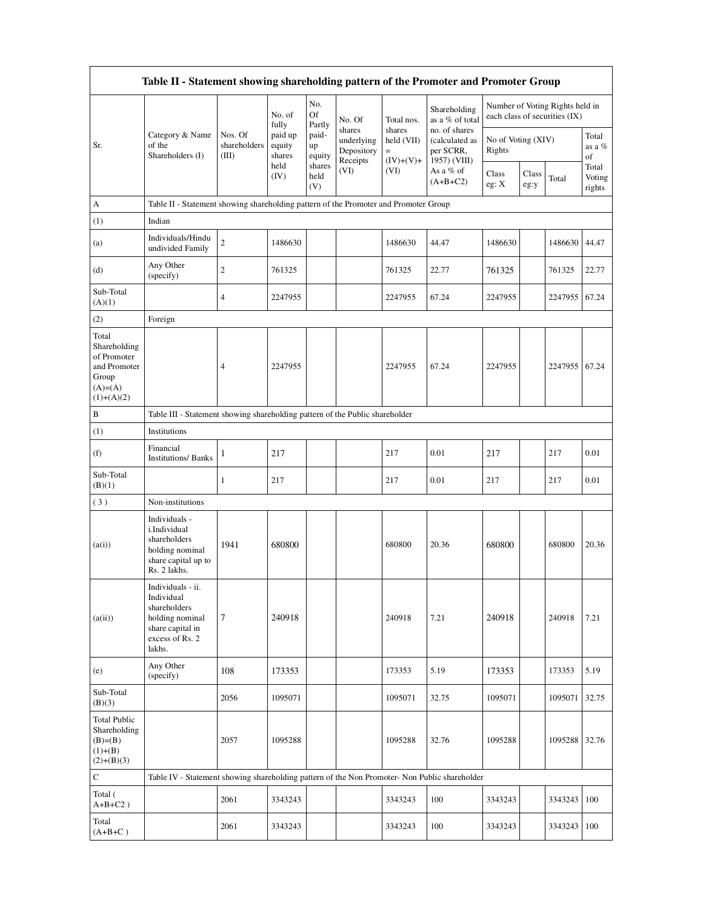| Table II - Statement showing shareholding pattern of the Promoter and Promoter Group      |                                                                                                                     |                                  |                             |                       |                                                |                                            |                                                              |                              |               |                                                                  |                           |
|-------------------------------------------------------------------------------------------|---------------------------------------------------------------------------------------------------------------------|----------------------------------|-----------------------------|-----------------------|------------------------------------------------|--------------------------------------------|--------------------------------------------------------------|------------------------------|---------------|------------------------------------------------------------------|---------------------------|
|                                                                                           |                                                                                                                     |                                  | No. of<br>fully             | No.<br>Of<br>Partly   | No. Of                                         | Total nos.                                 | Shareholding<br>as a % of total                              |                              |               | Number of Voting Rights held in<br>each class of securities (IX) |                           |
| Sr.                                                                                       | Category & Name<br>of the<br>Shareholders (I)                                                                       | Nos. Of<br>shareholders<br>(III) | paid up<br>equity<br>shares | paid-<br>up<br>equity | shares<br>underlying<br>Depository<br>Receipts | shares<br>held (VII)<br>$=$<br>$(IV)+(V)+$ | no. of shares<br>(calculated as<br>per SCRR,<br>1957) (VIII) | No of Voting (XIV)<br>Rights |               |                                                                  | Total<br>as a $%$<br>of   |
|                                                                                           |                                                                                                                     |                                  | held<br>(IV)                | shares<br>held<br>(V) | (VI)                                           | (VI)                                       | As a % of<br>$(A+B+C2)$                                      | Class<br>eg: X               | Class<br>eg:y | Total                                                            | Total<br>Voting<br>rights |
| A                                                                                         | Table II - Statement showing shareholding pattern of the Promoter and Promoter Group                                |                                  |                             |                       |                                                |                                            |                                                              |                              |               |                                                                  |                           |
| (1)                                                                                       | Indian                                                                                                              |                                  |                             |                       |                                                |                                            |                                                              |                              |               |                                                                  |                           |
| (a)                                                                                       | Individuals/Hindu<br>undivided Family                                                                               | $\boldsymbol{2}$                 | 1486630                     |                       |                                                | 1486630                                    | 44.47                                                        | 1486630                      |               | 1486630                                                          | 44.47                     |
| (d)                                                                                       | Any Other<br>(specify)                                                                                              | $\sqrt{2}$                       | 761325                      |                       |                                                | 761325                                     | 22.77                                                        | 761325                       |               | 761325                                                           | 22.77                     |
| Sub-Total<br>(A)(1)                                                                       |                                                                                                                     | $\overline{4}$                   | 2247955                     |                       |                                                | 2247955                                    | 67.24                                                        | 2247955                      |               | 2247955                                                          | 67.24                     |
| (2)                                                                                       | Foreign                                                                                                             |                                  |                             |                       |                                                |                                            |                                                              |                              |               |                                                                  |                           |
| Total<br>Shareholding<br>of Promoter<br>and Promoter<br>Group<br>$(A)=A)$<br>$(1)+(A)(2)$ |                                                                                                                     | 4                                | 2247955                     |                       |                                                | 2247955                                    | 67.24                                                        | 2247955                      |               | 2247955                                                          | 67.24                     |
| B                                                                                         | Table III - Statement showing shareholding pattern of the Public shareholder                                        |                                  |                             |                       |                                                |                                            |                                                              |                              |               |                                                                  |                           |
| (1)                                                                                       | Institutions                                                                                                        |                                  |                             |                       |                                                |                                            |                                                              |                              |               |                                                                  |                           |
| (f)                                                                                       | Financial<br><b>Institutions/Banks</b>                                                                              | 1                                | 217                         |                       |                                                | 217                                        | 0.01                                                         | 217                          |               | 217                                                              | 0.01                      |
| Sub-Total<br>(B)(1)                                                                       |                                                                                                                     | 1                                | 217                         |                       |                                                | 217                                        | 0.01                                                         | 217                          |               | 217                                                              | 0.01                      |
| (3)                                                                                       | Non-institutions                                                                                                    |                                  |                             |                       |                                                |                                            |                                                              |                              |               |                                                                  |                           |
| (a(i))                                                                                    | Individuals -<br>i.Individual<br>shareholders<br>holding nominal<br>share capital up to<br>Rs. 2 lakhs.             | 1941                             | 680800                      |                       |                                                | 680800                                     | 20.36                                                        | 680800                       |               | 680800                                                           | 20.36                     |
| (a(ii))                                                                                   | Individuals - ii.<br>Individual<br>shareholders<br>holding nominal<br>share capital in<br>excess of Rs. 2<br>lakhs. | $\tau$                           | 240918                      |                       |                                                | 240918                                     | 7.21                                                         | 240918                       |               | 240918                                                           | 7.21                      |
| (e)                                                                                       | Any Other<br>(specify)                                                                                              | 108                              | 173353                      |                       |                                                | 173353                                     | 5.19                                                         | 173353                       |               | 173353                                                           | 5.19                      |
| Sub-Total<br>(B)(3)                                                                       |                                                                                                                     | 2056                             | 1095071                     |                       |                                                | 1095071                                    | 32.75                                                        | 1095071                      |               | 1095071                                                          | 32.75                     |
| <b>Total Public</b><br>Shareholding<br>$(B)=B)$<br>$(1)+(B)$<br>$(2)+(B)(3)$              |                                                                                                                     | 2057                             | 1095288                     |                       |                                                | 1095288                                    | 32.76                                                        | 1095288                      |               | 1095288                                                          | 32.76                     |
| $\mathbf C$                                                                               | Table IV - Statement showing shareholding pattern of the Non Promoter- Non Public shareholder                       |                                  |                             |                       |                                                |                                            |                                                              |                              |               |                                                                  |                           |
| Total (<br>$A+B+C2$ )                                                                     |                                                                                                                     | 2061                             | 3343243                     |                       |                                                | 3343243                                    | 100                                                          | 3343243                      |               | 3343243                                                          | 100                       |
| Total<br>$(A+B+C)$                                                                        |                                                                                                                     | 2061                             | 3343243                     |                       |                                                | 3343243                                    | 100                                                          | 3343243                      |               | 3343243                                                          | 100                       |

 $\Gamma$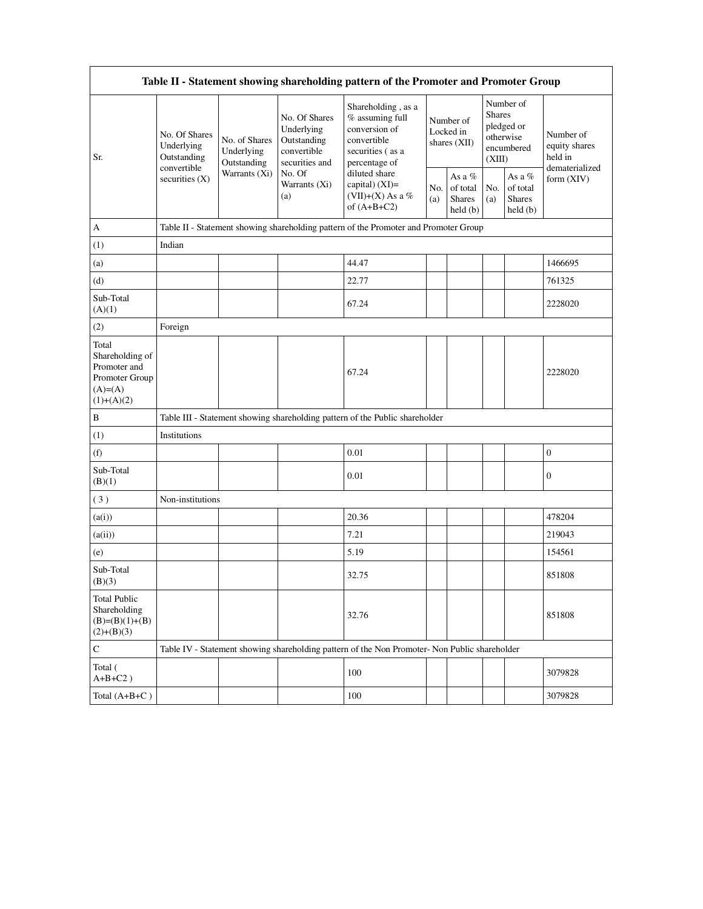|                                                                                          | Table II - Statement showing shareholding pattern of the Promoter and Promoter Group |                              |                                                                                                               |                                                                                                            |                                          |                                         |                                                                               |                                                |                                                         |
|------------------------------------------------------------------------------------------|--------------------------------------------------------------------------------------|------------------------------|---------------------------------------------------------------------------------------------------------------|------------------------------------------------------------------------------------------------------------|------------------------------------------|-----------------------------------------|-------------------------------------------------------------------------------|------------------------------------------------|---------------------------------------------------------|
| Sr.                                                                                      | No. Of Shares<br>Underlying<br>Underlying<br>Outstanding<br>convertible              | No. of Shares<br>Outstanding | No. Of Shares<br>Underlying<br>Outstanding<br>convertible<br>securities and<br>No. Of<br>Warrants (Xi)<br>(a) | Shareholding, as a<br>% assuming full<br>conversion of<br>convertible<br>securities (as a<br>percentage of | Number of<br>Locked in<br>shares $(XII)$ |                                         | Number of<br><b>Shares</b><br>pledged or<br>otherwise<br>encumbered<br>(XIII) |                                                | Number of<br>equity shares<br>held in<br>dematerialized |
|                                                                                          | securities (X)                                                                       | Warrants (Xi)                |                                                                                                               | diluted share<br>capital) $(XI)=$<br>(VII)+(X) As a %<br>of $(A+B+C2)$                                     | No.<br>(a)                               | As a %<br>of total<br>Shares<br>held(b) | No.<br>(a)                                                                    | As a %<br>of total<br><b>Shares</b><br>held(b) | form (XIV)                                              |
| A                                                                                        |                                                                                      |                              |                                                                                                               | Table II - Statement showing shareholding pattern of the Promoter and Promoter Group                       |                                          |                                         |                                                                               |                                                |                                                         |
| (1)                                                                                      | Indian                                                                               |                              |                                                                                                               |                                                                                                            |                                          |                                         |                                                                               |                                                |                                                         |
| (a)                                                                                      |                                                                                      |                              |                                                                                                               | 44.47                                                                                                      |                                          |                                         |                                                                               |                                                | 1466695                                                 |
| (d)                                                                                      |                                                                                      |                              |                                                                                                               | 22.77                                                                                                      |                                          |                                         |                                                                               |                                                | 761325                                                  |
| Sub-Total<br>(A)(1)                                                                      |                                                                                      |                              |                                                                                                               | 67.24                                                                                                      |                                          |                                         |                                                                               |                                                | 2228020                                                 |
| (2)                                                                                      | Foreign                                                                              |                              |                                                                                                               |                                                                                                            |                                          |                                         |                                                                               |                                                |                                                         |
| Total<br>Shareholding of<br>Promoter and<br>Promoter Group<br>$(A)= (A)$<br>$(1)+(A)(2)$ |                                                                                      |                              |                                                                                                               | 67.24                                                                                                      |                                          |                                         |                                                                               |                                                | 2228020                                                 |
| $\, {\bf B}$                                                                             |                                                                                      |                              |                                                                                                               | Table III - Statement showing shareholding pattern of the Public shareholder                               |                                          |                                         |                                                                               |                                                |                                                         |
| (1)                                                                                      | Institutions                                                                         |                              |                                                                                                               |                                                                                                            |                                          |                                         |                                                                               |                                                |                                                         |
| (f)                                                                                      |                                                                                      |                              |                                                                                                               | 0.01                                                                                                       |                                          |                                         |                                                                               |                                                | $\boldsymbol{0}$                                        |
| Sub-Total<br>(B)(1)                                                                      |                                                                                      |                              |                                                                                                               | 0.01                                                                                                       |                                          |                                         |                                                                               |                                                | $\boldsymbol{0}$                                        |
| (3)                                                                                      | Non-institutions                                                                     |                              |                                                                                                               |                                                                                                            |                                          |                                         |                                                                               |                                                |                                                         |
| (a(i))                                                                                   |                                                                                      |                              |                                                                                                               | 20.36                                                                                                      |                                          |                                         |                                                                               |                                                | 478204                                                  |
| (a(ii))                                                                                  |                                                                                      |                              |                                                                                                               | 7.21                                                                                                       |                                          |                                         |                                                                               |                                                | 219043                                                  |
| (e)                                                                                      |                                                                                      |                              |                                                                                                               | 5.19                                                                                                       |                                          |                                         |                                                                               |                                                | 154561                                                  |
| Sub-Total<br>(B)(3)                                                                      |                                                                                      |                              |                                                                                                               | 32.75                                                                                                      |                                          |                                         |                                                                               |                                                | 851808                                                  |
| <b>Total Public</b><br>Shareholding<br>$(B)=(B)(1)+(B)$<br>$(2)+(B)(3)$                  |                                                                                      |                              |                                                                                                               | 32.76                                                                                                      |                                          |                                         |                                                                               |                                                | 851808                                                  |
| ${\bf C}$                                                                                |                                                                                      |                              |                                                                                                               | Table IV - Statement showing shareholding pattern of the Non Promoter- Non Public shareholder              |                                          |                                         |                                                                               |                                                |                                                         |
| Total (<br>$A+B+C2$ )                                                                    |                                                                                      |                              |                                                                                                               | 100                                                                                                        |                                          |                                         |                                                                               |                                                | 3079828                                                 |
| Total $(A+B+C)$                                                                          |                                                                                      |                              |                                                                                                               | 100                                                                                                        |                                          |                                         |                                                                               |                                                | 3079828                                                 |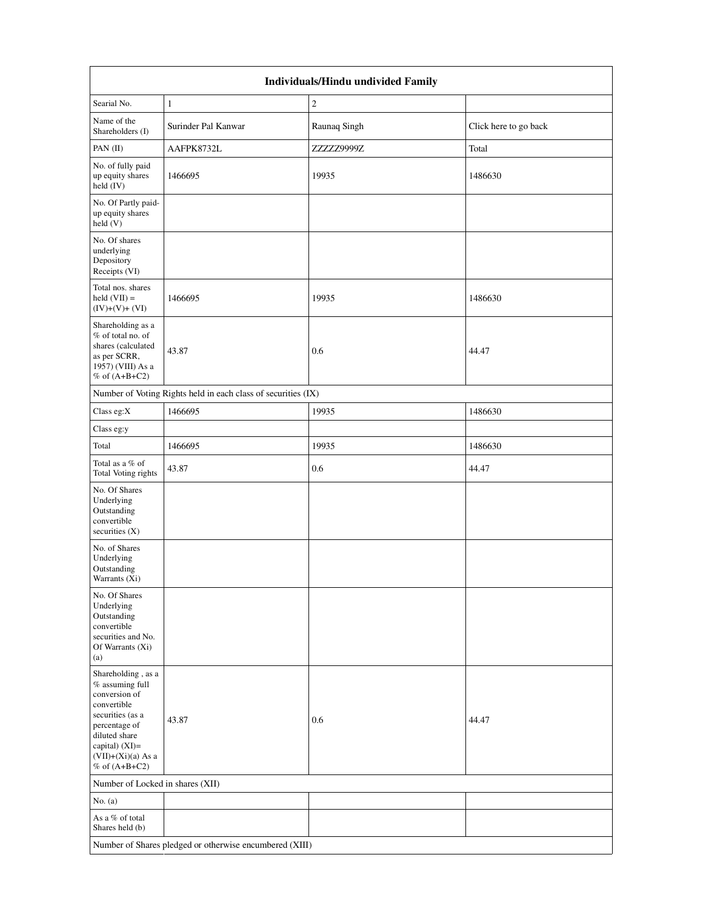| Individuals/Hindu undivided Family                                                                                                                                                       |                                                               |                |                       |  |  |  |
|------------------------------------------------------------------------------------------------------------------------------------------------------------------------------------------|---------------------------------------------------------------|----------------|-----------------------|--|--|--|
| Searial No.                                                                                                                                                                              | $\mathbf{1}$                                                  | $\mathfrak{2}$ |                       |  |  |  |
| Name of the<br>Shareholders (I)                                                                                                                                                          | Surinder Pal Kanwar                                           | Raunaq Singh   | Click here to go back |  |  |  |
| PAN (II)                                                                                                                                                                                 | AAFPK8732L                                                    | ZZZZZ9999Z     | Total                 |  |  |  |
| No. of fully paid<br>up equity shares<br>held (IV)                                                                                                                                       | 1466695                                                       | 19935          | 1486630               |  |  |  |
| No. Of Partly paid-<br>up equity shares<br>held(V)                                                                                                                                       |                                                               |                |                       |  |  |  |
| No. Of shares<br>underlying<br>Depository<br>Receipts (VI)                                                                                                                               |                                                               |                |                       |  |  |  |
| Total nos. shares<br>held $(VII) =$<br>$(IV)+(V)+(VI)$                                                                                                                                   | 1466695                                                       | 19935          | 1486630               |  |  |  |
| Shareholding as a<br>% of total no. of<br>shares (calculated<br>as per SCRR,<br>1957) (VIII) As a<br>$%$ of $(A+B+C2)$                                                                   | 43.87                                                         | 0.6            | 44.47                 |  |  |  |
|                                                                                                                                                                                          | Number of Voting Rights held in each class of securities (IX) |                |                       |  |  |  |
| Class eg:X                                                                                                                                                                               | 1466695                                                       | 19935          | 1486630               |  |  |  |
| Class eg:y                                                                                                                                                                               |                                                               |                |                       |  |  |  |
| Total                                                                                                                                                                                    | 1466695                                                       | 19935          | 1486630               |  |  |  |
| Total as a % of<br>Total Voting rights                                                                                                                                                   | 43.87                                                         | 0.6            | 44.47                 |  |  |  |
| No. Of Shares<br>Underlying<br>Outstanding<br>convertible<br>securities $(X)$                                                                                                            |                                                               |                |                       |  |  |  |
| No. of Shares<br>Underlying<br>Outstanding<br>Warrants (Xi)                                                                                                                              |                                                               |                |                       |  |  |  |
| No. Of Shares<br>Underlying<br>Outstanding<br>convertible<br>securities and No.<br>Of Warrants (Xi)<br>(a)                                                                               |                                                               |                |                       |  |  |  |
| Shareholding, as a<br>% assuming full<br>conversion of<br>convertible<br>securities (as a<br>percentage of<br>diluted share<br>capital) (XI)=<br>$(VII)+(Xi)(a)$ As a<br>% of $(A+B+C2)$ | 43.87                                                         | 0.6            | 44.47                 |  |  |  |
| Number of Locked in shares (XII)                                                                                                                                                         |                                                               |                |                       |  |  |  |
| No. $(a)$                                                                                                                                                                                |                                                               |                |                       |  |  |  |
| As a % of total<br>Shares held (b)                                                                                                                                                       |                                                               |                |                       |  |  |  |
| Number of Shares pledged or otherwise encumbered (XIII)                                                                                                                                  |                                                               |                |                       |  |  |  |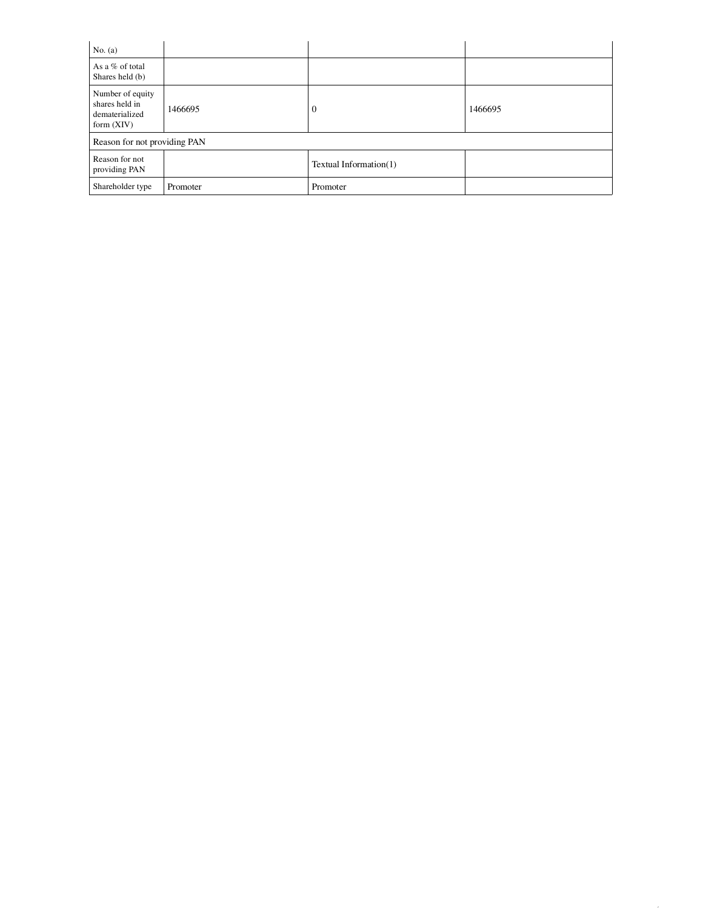| No. $(a)$                                                            |          |                        |         |
|----------------------------------------------------------------------|----------|------------------------|---------|
| As a % of total<br>Shares held (b)                                   |          |                        |         |
| Number of equity<br>shares held in<br>dematerialized<br>form $(XIV)$ | 1466695  | $\overline{0}$         | 1466695 |
| Reason for not providing PAN                                         |          |                        |         |
| Reason for not<br>providing PAN                                      |          | Textual Information(1) |         |
| Shareholder type                                                     | Promoter | Promoter               |         |

8 of 17 and 17 and 17 and 17 and 17 and 17 and 17 and 17 and 17 and 17 and 17 and 17 and 17 and 17 and 17 and 1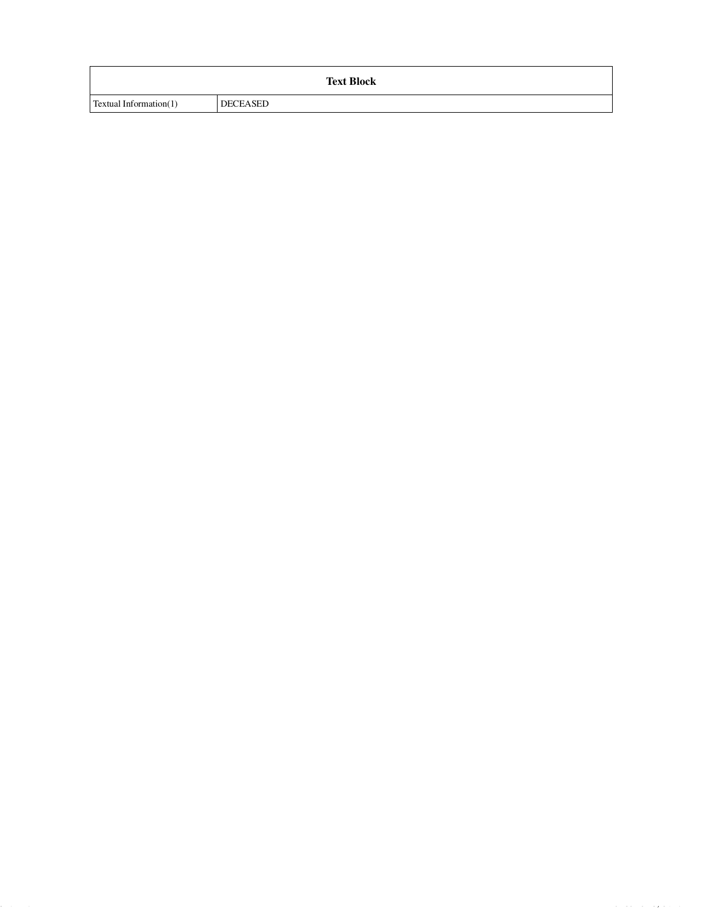|                               | <b>Text Block</b> |  |
|-------------------------------|-------------------|--|
| <b>Textual Information(1)</b> | DECEASED          |  |

9 of 17 4/13/2018, 5:17 PM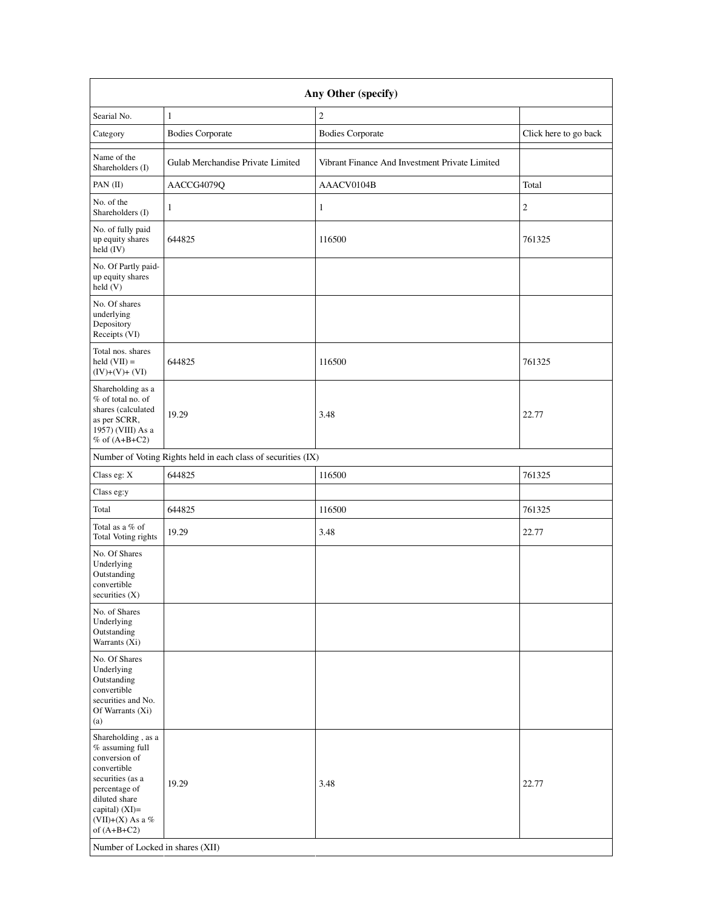|                                                                                                                                                                                                                        | Any Other (specify)                                           |                                                |                       |  |  |  |
|------------------------------------------------------------------------------------------------------------------------------------------------------------------------------------------------------------------------|---------------------------------------------------------------|------------------------------------------------|-----------------------|--|--|--|
| Searial No.                                                                                                                                                                                                            | $\mathbf{1}$                                                  | $\sqrt{2}$                                     |                       |  |  |  |
| Category                                                                                                                                                                                                               | <b>Bodies Corporate</b>                                       | <b>Bodies Corporate</b>                        | Click here to go back |  |  |  |
| Name of the<br>Shareholders (I)                                                                                                                                                                                        | Gulab Merchandise Private Limited                             | Vibrant Finance And Investment Private Limited |                       |  |  |  |
| PAN (II)                                                                                                                                                                                                               | AACCG4079Q                                                    | AAACV0104B                                     | Total                 |  |  |  |
| No. of the<br>Shareholders (I)                                                                                                                                                                                         | 1                                                             | $\mathbf{1}$                                   | $\mathfrak{2}$        |  |  |  |
| No. of fully paid<br>up equity shares<br>held (IV)                                                                                                                                                                     | 644825                                                        | 116500                                         | 761325                |  |  |  |
| No. Of Partly paid-<br>up equity shares<br>held(V)                                                                                                                                                                     |                                                               |                                                |                       |  |  |  |
| No. Of shares<br>underlying<br>Depository<br>Receipts (VI)                                                                                                                                                             |                                                               |                                                |                       |  |  |  |
| Total nos. shares<br>held $(VII) =$<br>$(IV)+(V)+(VI)$                                                                                                                                                                 | 644825                                                        | 116500                                         | 761325                |  |  |  |
| Shareholding as a<br>% of total no. of<br>shares (calculated<br>as per SCRR,<br>1957) (VIII) As a<br>% of $(A+B+C2)$                                                                                                   | 19.29                                                         | 3.48                                           | 22.77                 |  |  |  |
|                                                                                                                                                                                                                        | Number of Voting Rights held in each class of securities (IX) |                                                |                       |  |  |  |
| Class eg: X                                                                                                                                                                                                            | 644825                                                        | 116500                                         | 761325                |  |  |  |
| Class eg:y                                                                                                                                                                                                             |                                                               |                                                |                       |  |  |  |
| Total                                                                                                                                                                                                                  | 644825                                                        | 116500                                         | 761325                |  |  |  |
| Total as a % of<br>Total Voting rights                                                                                                                                                                                 | 19.29                                                         | 3.48                                           | 22.77                 |  |  |  |
| No. Of Shares<br>Underlying<br>Outstanding<br>convertible<br>securities $(X)$                                                                                                                                          |                                                               |                                                |                       |  |  |  |
| No. of Shares<br>Underlying<br>Outstanding<br>Warrants (Xi)                                                                                                                                                            |                                                               |                                                |                       |  |  |  |
| No. Of Shares<br>Underlying<br>Outstanding<br>convertible<br>securities and No.<br>Of Warrants (Xi)<br>(a)                                                                                                             |                                                               |                                                |                       |  |  |  |
| Shareholding, as a<br>% assuming full<br>conversion of<br>convertible<br>securities (as a<br>percentage of<br>diluted share<br>capital) (XI)=<br>(VII)+(X) As a %<br>of $(A+B+C2)$<br>Number of Locked in shares (XII) | 19.29                                                         | 3.48                                           | 22.77                 |  |  |  |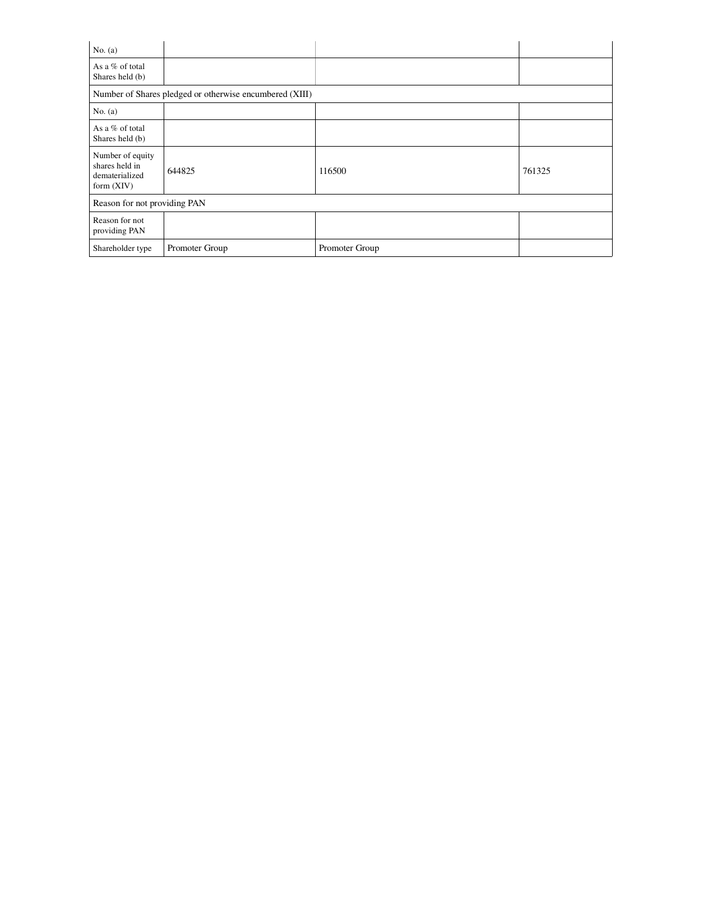| No. $(a)$                                                          |                                                         |                |        |
|--------------------------------------------------------------------|---------------------------------------------------------|----------------|--------|
| As a % of total<br>Shares held (b)                                 |                                                         |                |        |
|                                                                    | Number of Shares pledged or otherwise encumbered (XIII) |                |        |
| No. $(a)$                                                          |                                                         |                |        |
| As a % of total<br>Shares held (b)                                 |                                                         |                |        |
| Number of equity<br>shares held in<br>dematerialized<br>form (XIV) | 644825                                                  | 116500         | 761325 |
| Reason for not providing PAN                                       |                                                         |                |        |
| Reason for not<br>providing PAN                                    |                                                         |                |        |
| Shareholder type                                                   | Promoter Group                                          | Promoter Group |        |

 $11.1$  of 17  $\pm1.2$  of 17  $\pm1.2$   $\pm1.2$   $\pm1.2$   $\pm1.2$   $\pm1.2$   $\pm1.2$   $\pm1.2$   $\pm1.2$   $\pm1.2$   $\pm1.2$   $\pm1.2$   $\pm1.2$   $\pm1.2$   $\pm1.2$   $\pm1.2$   $\pm1.2$   $\pm1.2$   $\pm1.2$   $\pm1.2$   $\pm1.2$   $\pm1.2$   $\pm1.2$   $\pm1.2$   $\pm1.2$   $\$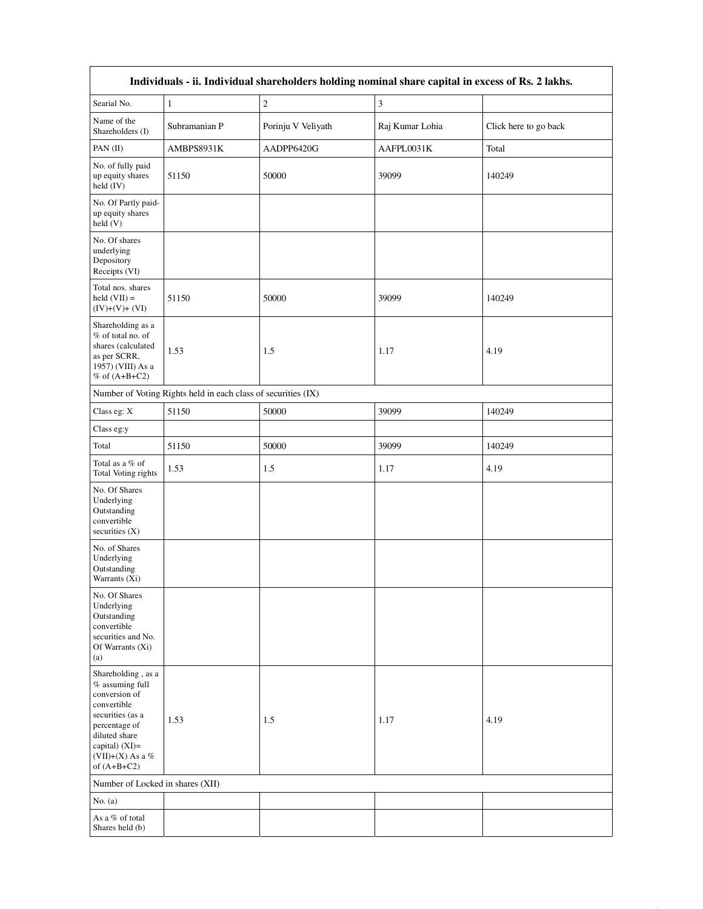| Individuals - ii. Individual shareholders holding nominal share capital in excess of Rs. 2 lakhs.                                                                                     |                                                               |                    |                             |                       |  |  |  |
|---------------------------------------------------------------------------------------------------------------------------------------------------------------------------------------|---------------------------------------------------------------|--------------------|-----------------------------|-----------------------|--|--|--|
| Searial No.                                                                                                                                                                           | $\mathbf{1}$                                                  | $\overline{c}$     | $\ensuremath{\mathfrak{Z}}$ |                       |  |  |  |
| Name of the<br>Shareholders (I)                                                                                                                                                       | Subramanian P                                                 | Porinju V Veliyath | Raj Kumar Lohia             | Click here to go back |  |  |  |
| PAN (II)                                                                                                                                                                              | AMBPS8931K                                                    | AADPP6420G         | AAFPL0031K                  | Total                 |  |  |  |
| No. of fully paid<br>up equity shares<br>held (IV)                                                                                                                                    | 51150                                                         | 50000              | 39099                       | 140249                |  |  |  |
| No. Of Partly paid-<br>up equity shares<br>held(V)                                                                                                                                    |                                                               |                    |                             |                       |  |  |  |
| No. Of shares<br>underlying<br>Depository<br>Receipts (VI)                                                                                                                            |                                                               |                    |                             |                       |  |  |  |
| Total nos. shares<br>held $(VII) =$<br>$(IV)+(V)+(VI)$                                                                                                                                | 51150                                                         | 50000              | 39099                       | 140249                |  |  |  |
| Shareholding as a<br>% of total no. of<br>shares (calculated<br>as per SCRR,<br>1957) (VIII) As a<br>% of $(A+B+C2)$                                                                  | 1.53                                                          | 1.5                | 1.17                        | 4.19                  |  |  |  |
|                                                                                                                                                                                       | Number of Voting Rights held in each class of securities (IX) |                    |                             |                       |  |  |  |
| Class eg: X                                                                                                                                                                           | 51150                                                         | 50000              | 39099                       | 140249                |  |  |  |
| Class eg:y                                                                                                                                                                            |                                                               |                    |                             |                       |  |  |  |
| Total                                                                                                                                                                                 | 51150                                                         | 50000              | 39099                       | 140249                |  |  |  |
| Total as a % of<br>Total Voting rights                                                                                                                                                | 1.53                                                          | $1.5\,$            | 1.17                        | 4.19                  |  |  |  |
| No. Of Shares<br>Underlying<br>Outstanding<br>convertible<br>securities $(X)$                                                                                                         |                                                               |                    |                             |                       |  |  |  |
| No. of Shares<br>Underlying<br>Outstanding<br>Warrants (Xi)                                                                                                                           |                                                               |                    |                             |                       |  |  |  |
| No. Of Shares<br>Underlying<br>Outstanding<br>convertible<br>securities and No.<br>Of Warrants (Xi)<br>(a)                                                                            |                                                               |                    |                             |                       |  |  |  |
| Shareholding, as a<br>% assuming full<br>conversion of<br>convertible<br>securities (as a<br>percentage of<br>diluted share<br>capital) $(XI)$ =<br>(VII)+(X) As a %<br>of $(A+B+C2)$ | 1.53                                                          | 1.5                | 1.17                        | 4.19                  |  |  |  |
| Number of Locked in shares (XII)                                                                                                                                                      |                                                               |                    |                             |                       |  |  |  |
| No. $(a)$                                                                                                                                                                             |                                                               |                    |                             |                       |  |  |  |
| As a % of total<br>Shares held (b)                                                                                                                                                    |                                                               |                    |                             |                       |  |  |  |

 $12$  of 17  $\pm$  17  $\pm$  17  $\pm$  17  $\pm$  17  $\pm$  17  $\pm$  17  $\pm$  17  $\pm$  17  $\pm$  17  $\pm$  17  $\pm$  17  $\pm$  17  $\pm$  17  $\pm$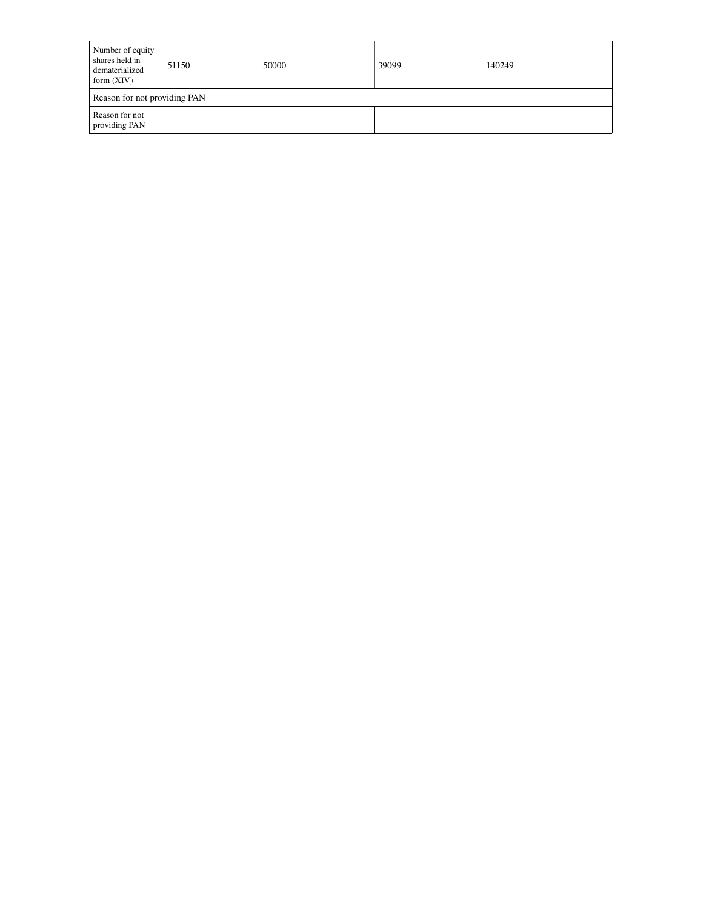| Number of equity<br>shares held in<br>dematerialized<br>form $(XIV)$ | 51150 | 50000 | 39099 | 140249 |  |  |
|----------------------------------------------------------------------|-------|-------|-------|--------|--|--|
| Reason for not providing PAN                                         |       |       |       |        |  |  |
| Reason for not<br>providing PAN                                      |       |       |       |        |  |  |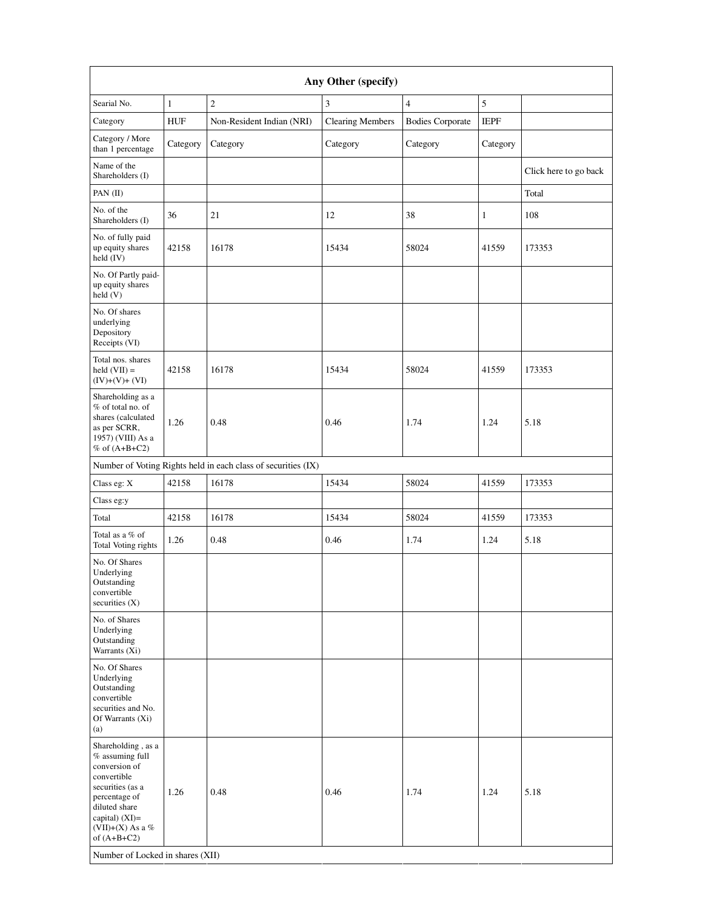| Any Other (specify)                                                                                                                                                                                                    |              |                                                               |                         |                         |             |                       |
|------------------------------------------------------------------------------------------------------------------------------------------------------------------------------------------------------------------------|--------------|---------------------------------------------------------------|-------------------------|-------------------------|-------------|-----------------------|
| Searial No.                                                                                                                                                                                                            | $\mathbf{1}$ | $\mathbf{2}$                                                  | 3                       | $\overline{4}$          | 5           |                       |
| Category                                                                                                                                                                                                               | <b>HUF</b>   | Non-Resident Indian (NRI)                                     | <b>Clearing Members</b> | <b>Bodies Corporate</b> | <b>IEPF</b> |                       |
| Category / More<br>than 1 percentage                                                                                                                                                                                   | Category     | Category                                                      | Category                | Category                | Category    |                       |
| Name of the<br>Shareholders (I)                                                                                                                                                                                        |              |                                                               |                         |                         |             | Click here to go back |
| PAN (II)                                                                                                                                                                                                               |              |                                                               |                         |                         |             | Total                 |
| No. of the<br>Shareholders (I)                                                                                                                                                                                         | 36           | 21                                                            | 12                      | 38                      | 1           | 108                   |
| No. of fully paid<br>up equity shares<br>held (IV)                                                                                                                                                                     | 42158        | 16178                                                         | 15434                   | 58024                   | 41559       | 173353                |
| No. Of Partly paid-<br>up equity shares<br>held(V)                                                                                                                                                                     |              |                                                               |                         |                         |             |                       |
| No. Of shares<br>underlying<br>Depository<br>Receipts (VI)                                                                                                                                                             |              |                                                               |                         |                         |             |                       |
| Total nos. shares<br>$\text{held} (\text{VII}) =$<br>$(IV)+(V)+(VI)$                                                                                                                                                   | 42158        | 16178                                                         | 15434                   | 58024                   | 41559       | 173353                |
| Shareholding as a<br>% of total no. of<br>shares (calculated<br>as per SCRR,<br>1957) (VIII) As a<br>% of $(A+B+C2)$                                                                                                   | 1.26         | 0.48                                                          | 0.46                    | 1.74                    | 1.24        | 5.18                  |
|                                                                                                                                                                                                                        |              | Number of Voting Rights held in each class of securities (IX) |                         |                         |             |                       |
| Class eg: X                                                                                                                                                                                                            | 42158        | 16178                                                         | 15434                   | 58024                   | 41559       | 173353                |
| Class eg:y                                                                                                                                                                                                             |              |                                                               |                         |                         |             |                       |
| Total                                                                                                                                                                                                                  | 42158        | 16178                                                         | 15434                   | 58024                   | 41559       | 173353                |
| Total as a % of<br>Total Voting rights                                                                                                                                                                                 | 1.26         | 0.48                                                          | 0.46                    | 1.74                    | 1.24        | 5.18                  |
| No. Of Shares<br>Underlying<br>Outstanding<br>convertible<br>securities (X)                                                                                                                                            |              |                                                               |                         |                         |             |                       |
| No. of Shares<br>Underlying<br>Outstanding<br>Warrants (Xi)                                                                                                                                                            |              |                                                               |                         |                         |             |                       |
| No. Of Shares<br>Underlying<br>Outstanding<br>convertible<br>securities and No.<br>Of Warrants (Xi)<br>(a)                                                                                                             |              |                                                               |                         |                         |             |                       |
| Shareholding, as a<br>% assuming full<br>conversion of<br>convertible<br>securities (as a<br>percentage of<br>diluted share<br>capital) (XI)=<br>(VII)+(X) As a %<br>of $(A+B+C2)$<br>Number of Locked in shares (XII) | 1.26         | 0.48                                                          | 0.46                    | 1.74                    | 1.24        | 5.18                  |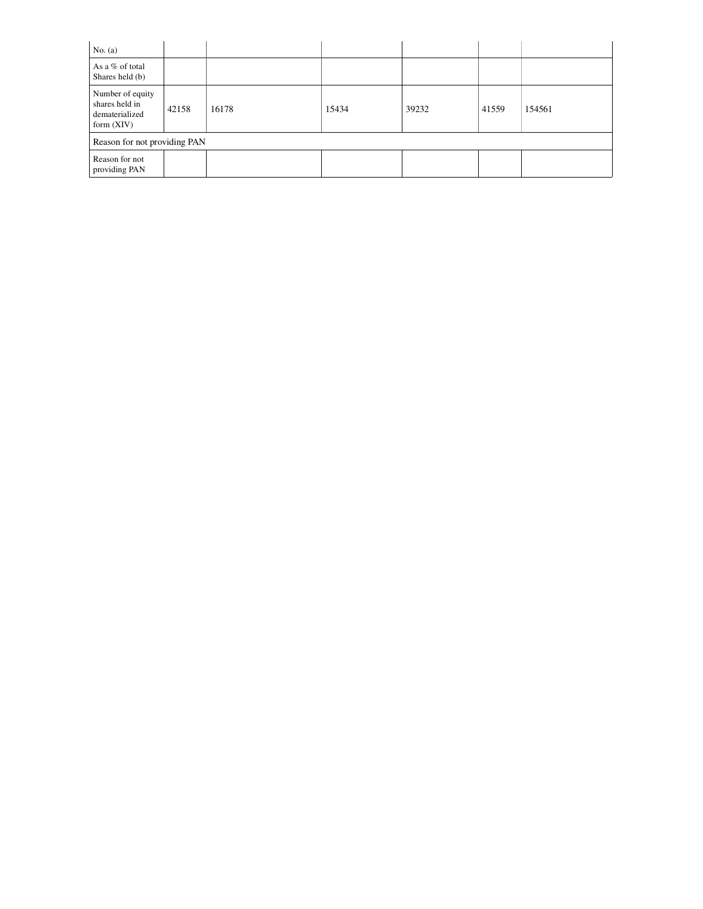| No. $(a)$                                                            |       |       |       |       |       |        |
|----------------------------------------------------------------------|-------|-------|-------|-------|-------|--------|
| As a % of total<br>Shares held (b)                                   |       |       |       |       |       |        |
| Number of equity<br>shares held in<br>dematerialized<br>form $(XIV)$ | 42158 | 16178 | 15434 | 39232 | 41559 | 154561 |
| Reason for not providing PAN                                         |       |       |       |       |       |        |
| Reason for not<br>providing PAN                                      |       |       |       |       |       |        |